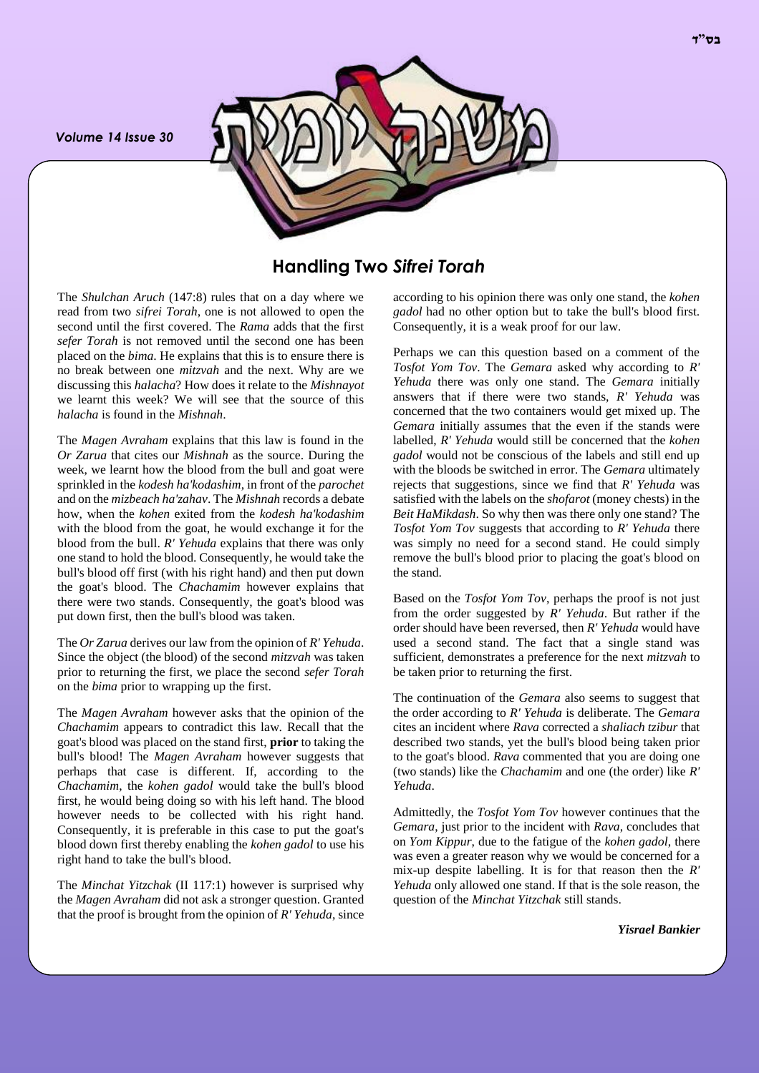*Volume 14 Issue 30*



# **Handling Two** *Sifrei Torah*

The *Shulchan Aruch* (147:8) rules that on a day where we read from two *sifrei Torah*, one is not allowed to open the second until the first covered. The *Rama* adds that the first *sefer Torah* is not removed until the second one has been placed on the *bima*. He explains that this is to ensure there is no break between one *mitzvah* and the next. Why are we discussing this *halacha*? How does it relate to the *Mishnayot* we learnt this week? We will see that the source of this *halacha* is found in the *Mishnah*.

The *Magen Avraham* explains that this law is found in the *Or Zarua* that cites our *Mishnah* as the source. During the week, we learnt how the blood from the bull and goat were sprinkled in the *kodesh ha'kodashim*, in front of the *parochet* and on the *mizbeach ha'zahav*. The *Mishnah* records a debate how, when the *kohen* exited from the *kodesh ha'kodashim* with the blood from the goat, he would exchange it for the blood from the bull. *R' Yehuda* explains that there was only one stand to hold the blood. Consequently, he would take the bull's blood off first (with his right hand) and then put down the goat's blood. The *Chachamim* however explains that there were two stands. Consequently, the goat's blood was put down first, then the bull's blood was taken.

The *Or Zarua* derives our law from the opinion of *R' Yehuda*. Since the object (the blood) of the second *mitzvah* was taken prior to returning the first, we place the second *sefer Torah* on the *bima* prior to wrapping up the first.

The *Magen Avraham* however asks that the opinion of the *Chachamim* appears to contradict this law. Recall that the goat's blood was placed on the stand first, **prior** to taking the bull's blood! The *Magen Avraham* however suggests that perhaps that case is different. If, according to the *Chachamim*, the *kohen gadol* would take the bull's blood first, he would being doing so with his left hand. The blood however needs to be collected with his right hand. Consequently, it is preferable in this case to put the goat's blood down first thereby enabling the *kohen gadol* to use his right hand to take the bull's blood.

The *Minchat Yitzchak* (II 117:1) however is surprised why the *Magen Avraham* did not ask a stronger question. Granted that the proof is brought from the opinion of *R' Yehuda*, since

according to his opinion there was only one stand, the *kohen gadol* had no other option but to take the bull's blood first. Consequently, it is a weak proof for our law.

Perhaps we can this question based on a comment of the *Tosfot Yom Tov*. The *Gemara* asked why according to *R' Yehuda* there was only one stand. The *Gemara* initially answers that if there were two stands, *R' Yehuda* was concerned that the two containers would get mixed up. The *Gemara* initially assumes that the even if the stands were labelled, *R' Yehuda* would still be concerned that the *kohen gadol* would not be conscious of the labels and still end up with the bloods be switched in error. The *Gemara* ultimately rejects that suggestions, since we find that *R' Yehuda* was satisfied with the labels on the *shofarot* (money chests) in the *Beit HaMikdash*. So why then was there only one stand? The *Tosfot Yom Tov* suggests that according to *R' Yehuda* there was simply no need for a second stand. He could simply remove the bull's blood prior to placing the goat's blood on the stand.

Based on the *Tosfot Yom Tov*, perhaps the proof is not just from the order suggested by *R' Yehuda*. But rather if the order should have been reversed, then *R' Yehuda* would have used a second stand. The fact that a single stand was sufficient, demonstrates a preference for the next *mitzvah* to be taken prior to returning the first.

The continuation of the *Gemara* also seems to suggest that the order according to *R' Yehuda* is deliberate. The *Gemara* cites an incident where *Rava* corrected a *shaliach tzibur* that described two stands, yet the bull's blood being taken prior to the goat's blood. *Rava* commented that you are doing one (two stands) like the *Chachamim* and one (the order) like *R' Yehuda*.

Admittedly, the *Tosfot Yom Tov* however continues that the *Gemara*, just prior to the incident with *Rava*, concludes that on *Yom Kippur*, due to the fatigue of the *kohen gadol*, there was even a greater reason why we would be concerned for a mix-up despite labelling. It is for that reason then the *R' Yehuda* only allowed one stand. If that is the sole reason, the question of the *Minchat Yitzchak* still stands.

*Yisrael Bankier*